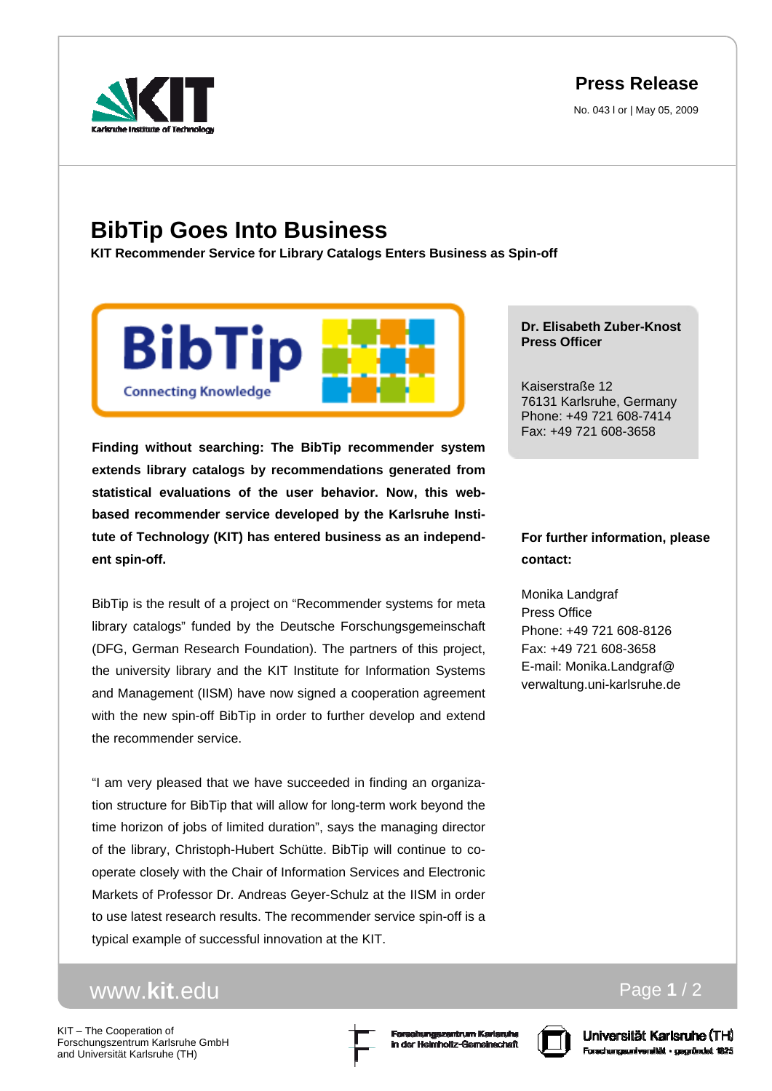**Press Release**

No. 043 l or | May 05, 2009



## **BibTip Goes Into Business**

**KIT Recommender Service for Library Catalogs Enters Business as Spin-off** 



**Finding without searching: The BibTip recommender system extends library catalogs by recommendations generated from statistical evaluations of the user behavior. Now, this webbased recommender service developed by the Karlsruhe Institute of Technology (KIT) has entered business as an independent spin-off.** 

BibTip is the result of a project on "Recommender systems for meta library catalogs" funded by the Deutsche Forschungsgemeinschaft (DFG, German Research Foundation). The partners of this project, the university library and the KIT Institute for Information Systems and Management (IISM) have now signed a cooperation agreement with the new spin-off BibTip in order to further develop and extend the recommender service.

"I am very pleased that we have succeeded in finding an organization structure for BibTip that will allow for long-term work beyond the time horizon of jobs of limited duration", says the managing director of the library, Christoph-Hubert Schütte. BibTip will continue to cooperate closely with the Chair of Information Services and Electronic Markets of Professor Dr. Andreas Geyer-Schulz at the IISM in order to use latest research results. The recommender service spin-off is a typical example of successful innovation at the KIT.

## www.**kit**.edu

KIT – The Cooperation of Forschungszentrum Karlsruhe GmbH and Universität Karlsruhe (TH)





Universität Karlsruhe (TH) Forschungsuniversität - gegründet 1825

Page **1** / 2

## **Dr. Elisabeth Zuber-Knost Press Officer**

Kaiserstraße 12 76131 Karlsruhe, Germany Phone: +49 721 608-7414 Fax: +49 721 608-3658

## **For further information, please contact:**

Monika Landgraf Press Office Phone: +49 721 608-8126 Fax: +49 721 608-3658 E-mail: Monika.Landgraf@ verwaltung.uni-karlsruhe.de